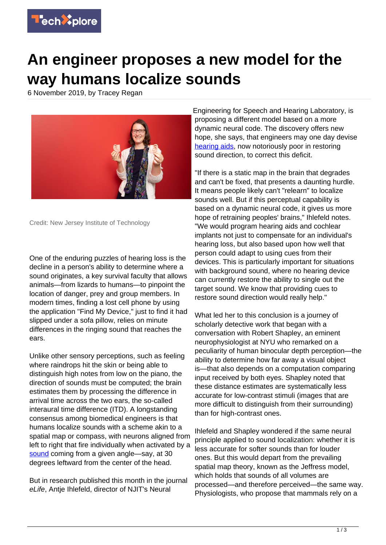

## **An engineer proposes a new model for the way humans localize sounds**

6 November 2019, by Tracey Regan



Credit: New Jersey Institute of Technology

One of the enduring puzzles of hearing loss is the decline in a person's ability to determine where a sound originates, a key survival faculty that allows animals—from lizards to humans—to pinpoint the location of danger, prey and group members. In modern times, finding a lost cell phone by using the application "Find My Device," just to find it had slipped under a sofa pillow, relies on minute differences in the ringing sound that reaches the ears.

Unlike other sensory perceptions, such as feeling where raindrops hit the skin or being able to distinguish high notes from low on the piano, the direction of sounds must be computed; the brain estimates them by processing the difference in arrival time across the two ears, the so-called interaural time difference (ITD). A longstanding consensus among biomedical engineers is that humans localize sounds with a scheme akin to a spatial map or compass, with neurons aligned from left to right that fire individually when activated by a [sound](https://techxplore.com/tags/sound/) coming from a given angle—say, at 30 degrees leftward from the center of the head.

But in research published this month in the journal eLife, Antje Ihlefeld, director of NJIT's Neural

Engineering for Speech and Hearing Laboratory, is proposing a different model based on a more dynamic neural code. The discovery offers new hope, she says, that engineers may one day devise [hearing aids](https://techxplore.com/tags/hearing+aids/), now notoriously poor in restoring sound direction, to correct this deficit.

"If there is a static map in the brain that degrades and can't be fixed, that presents a daunting hurdle. It means people likely can't "relearn" to localize sounds well. But if this perceptual capability is based on a dynamic neural code, it gives us more hope of retraining peoples' brains," Ihlefeld notes. "We would program hearing aids and cochlear implants not just to compensate for an individual's hearing loss, but also based upon how well that person could adapt to using cues from their devices. This is particularly important for situations with background sound, where no hearing device can currently restore the ability to single out the target sound. We know that providing cues to restore sound direction would really help."

What led her to this conclusion is a journey of scholarly detective work that began with a conversation with Robert Shapley, an eminent neurophysiologist at NYU who remarked on a peculiarity of human binocular depth perception—the ability to determine how far away a visual object is—that also depends on a computation comparing input received by both eyes. Shapley noted that these distance estimates are systematically less accurate for low-contrast stimuli (images that are more difficult to distinguish from their surrounding) than for high-contrast ones.

Ihlefeld and Shapley wondered if the same neural principle applied to sound localization: whether it is less accurate for softer sounds than for louder ones. But this would depart from the prevailing spatial map theory, known as the Jeffress model, which holds that sounds of all volumes are processed—and therefore perceived—the same way. Physiologists, who propose that mammals rely on a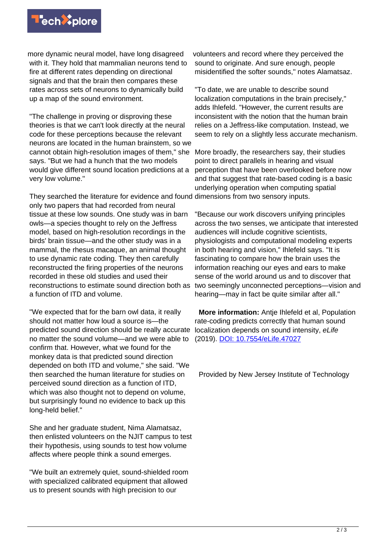

more dynamic neural model, have long disagreed with it. They hold that mammalian neurons tend to fire at different rates depending on directional signals and that the brain then compares these rates across sets of neurons to dynamically build up a map of the sound environment.

"The challenge in proving or disproving these theories is that we can't look directly at the neural code for these perceptions because the relevant neurons are located in the human brainstem, so we cannot obtain high-resolution images of them," she says. "But we had a hunch that the two models would give different sound location predictions at a very low volume."

They searched the literature for evidence and found dimensions from two sensory inputs. only two papers that had recorded from neural tissue at these low sounds. One study was in barn owls—a species thought to rely on the Jeffress model, based on high-resolution recordings in the birds' brain tissue—and the other study was in a mammal, the rhesus macaque, an animal thought to use dynamic rate coding. They then carefully reconstructed the firing properties of the neurons recorded in these old studies and used their reconstructions to estimate sound direction both as a function of ITD and volume.

"We expected that for the barn owl data, it really should not matter how loud a source is—the predicted sound direction should be really accurate no matter the sound volume—and we were able to confirm that. However, what we found for the monkey data is that predicted sound direction depended on both ITD and volume," she said. "We then searched the human literature for studies on perceived sound direction as a function of ITD, which was also thought not to depend on volume. but surprisingly found no evidence to back up this long-held belief."

She and her graduate student, Nima Alamatsaz, then enlisted volunteers on the NJIT campus to test their hypothesis, using sounds to test how volume affects where people think a sound emerges.

"We built an extremely quiet, sound-shielded room with specialized calibrated equipment that allowed us to present sounds with high precision to our

volunteers and record where they perceived the sound to originate. And sure enough, people misidentified the softer sounds," notes Alamatsaz.

"To date, we are unable to describe sound localization computations in the brain precisely," adds Ihlefeld. "However, the current results are inconsistent with the notion that the human brain relies on a Jeffress-like computation. Instead, we seem to rely on a slightly less accurate mechanism.

More broadly, the researchers say, their studies point to direct parallels in hearing and visual perception that have been overlooked before now and that suggest that rate-based coding is a basic underlying operation when computing spatial

"Because our work discovers unifying principles across the two senses, we anticipate that interested audiences will include cognitive scientists, physiologists and computational modeling experts in both hearing and vision," Ihlefeld says. "It is fascinating to compare how the brain uses the information reaching our eyes and ears to make sense of the world around us and to discover that two seemingly unconnected perceptions—vision and hearing—may in fact be quite similar after all."

 **More information:** Antje Ihlefeld et al, Population rate-coding predicts correctly that human sound localization depends on sound intensity, eLife (2019). [DOI: 10.7554/eLife.47027](http://dx.doi.org/10.7554/eLife.47027)

Provided by New Jersey Institute of Technology